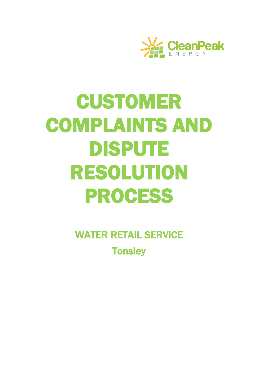

# **CUSTOMER** COMPLAINTS AND DISPUTE RESOLUTION PROCESS

WATER RETAIL SERVICE **Tonsley**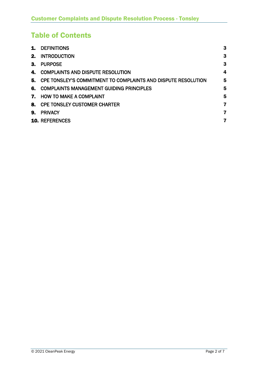# Table of Contents

| 1.      | <b>DEFINITIONS</b>                                            | 3 |
|---------|---------------------------------------------------------------|---|
| $2_{-}$ | <b>INTRODUCTION</b>                                           | 3 |
| З.      | <b>PURPOSE</b>                                                | 3 |
| 4.      | <b>COMPLAINTS AND DISPUTE RESOLUTION</b>                      | 4 |
| 5.      | CPE TONSLEY'S COMMITMENT TO COMPLAINTS AND DISPUTE RESOLUTION | 5 |
| 6.      | <b>COMPLAINTS MANAGEMENT GUIDING PRINCIPLES</b>               | 5 |
| 7.      | <b>HOW TO MAKE A COMPLAINT</b>                                | 5 |
| 8.      | <b>CPE TONSLEY CUSTOMER CHARTER</b>                           | 7 |
| 9.      | <b>PRIVACY</b>                                                | 7 |
|         | <b>10. REFERENCES</b>                                         | 7 |
|         |                                                               |   |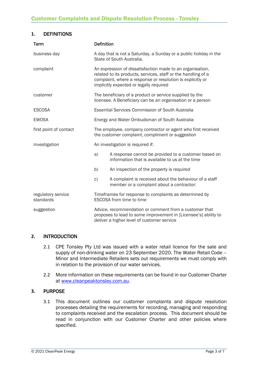# **1.** DEFINITIONS

| <b>Term</b>                     | <b>Definition</b>                                                                                                                                                                                                                   |                                                                                                         |  |  |
|---------------------------------|-------------------------------------------------------------------------------------------------------------------------------------------------------------------------------------------------------------------------------------|---------------------------------------------------------------------------------------------------------|--|--|
| business day                    | A day that is not a Saturday, a Sunday or a public holiday in the<br>State of South Australia.                                                                                                                                      |                                                                                                         |  |  |
| complaint                       | An expression of dissatisfaction made to an organisation,<br>related to its products, services, staff or the handling of a<br>complaint, where a response or resolution is explicitly or<br>implicitly expected or legally required |                                                                                                         |  |  |
| customer                        | The beneficiary of a product or service supplied by the<br>licensee. A Beneficiary can be an organisation or a person                                                                                                               |                                                                                                         |  |  |
| <b>ESCOSA</b>                   | <b>Essential Services Commission of South Australia</b>                                                                                                                                                                             |                                                                                                         |  |  |
| <b>EWOSA</b>                    | Energy and Water Ombudsman of South Australia                                                                                                                                                                                       |                                                                                                         |  |  |
| first point of contact          | The employee, company contractor or agent who first received<br>the customer complaint, compliment or suggestion                                                                                                                    |                                                                                                         |  |  |
| investigation                   | An investigation is required if:                                                                                                                                                                                                    |                                                                                                         |  |  |
|                                 | a)                                                                                                                                                                                                                                  | A response cannot be provided to a customer based on<br>information that is available to us at the time |  |  |
|                                 | b)                                                                                                                                                                                                                                  | An inspection of the property is required                                                               |  |  |
|                                 | C)                                                                                                                                                                                                                                  | A complaint is received about the behaviour of a staff<br>member or a complaint about a contractor:     |  |  |
| regulatory service<br>standards |                                                                                                                                                                                                                                     | Timeframes for response to complaints as determined by<br>ESCOSA from time to time                      |  |  |
| suggestion                      | Advice, recommendation or comment from a customer that<br>proposes to lead to some improvement in [Licensee's] ability to<br>deliver a higher level of customer service                                                             |                                                                                                         |  |  |

# **2.** INTRODUCTION

- 2.1 CPE Tonsley Pty Ltd was issued with a water retail licence for the sale and supply of non-drinking water on 23 September 2020. The Water Retail Code – Minor and Intermediate Retailers sets out requirements we must comply with in relation to the provision of our water services.
- 2.2 More information on these requirements can be found in our Customer Charter at [www.cleanpeaktonsley.com.au.](http://www.cleanpeaktonsley.com.au/)

# **3.** PURPOSE

3.1 This document outlines our customer complaints and dispute resolution processes detailing the requirements for recording, managing and responding to complaints received and the escalation process. This document should be read in conjunction with our Customer Charter and other policies where specified.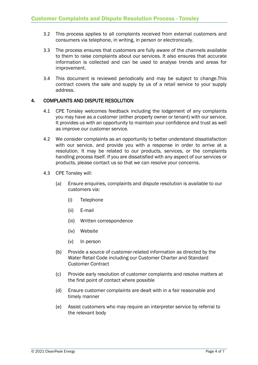- 3.2 This process applies to all complaints received from external customers and consumers via telephone, in writing, in person or electronically.
- 3.3 The process ensures that customers are fully aware of the channels available to them to raise complaints about our services. It also ensures that accurate information is collected and can be used to analyse trends and areas for improvement.
- 3.4 This document is reviewed periodically and may be subject to change.This contract covers the sale and supply by us of a retail service to your supply address.

# **4.** COMPLAINTS AND DISPUTE RESOLUTION

- 4.1 CPE Tonsley welcomes feedback including the lodgement of any complaints you may have as a customer (either property owner or tenant) with our service. It provides us with an opportunity to maintain your confidence and trust as well as improve our customer service.
- 4.2 We consider complaints as an opportunity to better understand dissatisfaction with our service, and provide you with a response in order to arrive at a resolution. It may be related to our products, services, or the complaints handling process itself. If you are dissatisfied with any aspect of our services or products, please contact us so that we can resolve your concerns.
- 4.3 CPE Tonsley will:
	- (a) Ensure enquiries, complaints and dispute resolution is available to our customers via:
		- (i) Telephone
		- (ii) E-mail
		- (iii) Written correspondence
		- (iv) Website
		- (v) In person
	- (b) Provide a source of customer-related information as directed by the Water Retail Code including our Customer Charter and Standard Customer Contract
	- (c) Provide early resolution of customer complaints and resolve matters at the first point of contact where possible
	- (d) Ensure customer complaints are dealt with in a fair reasonable and timely manner
	- (e) Assist customers who may require an interpreter service by referral to the relevant body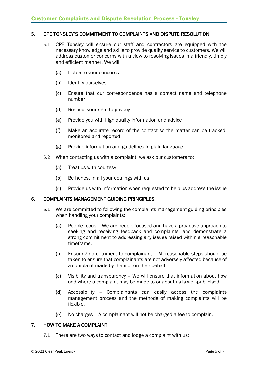# **5.** CPE TONSLEY'S COMMITMENT TO COMPLAINTS AND DISPUTE RESOLUTION

- 5.1 CPE Tonsley will ensure our staff and contractors are equipped with the necessary knowledge and skills to provide quality service to customers. We will address customer concerns with a view to resolving issues in a friendly, timely and efficient manner. We will:
	- (a) Listen to your concerns
	- (b) Identify ourselves
	- (c) Ensure that our correspondence has a contact name and telephone number
	- (d) Respect your right to privacy
	- (e) Provide you with high quality information and advice
	- (f) Make an accurate record of the contact so the matter can be tracked, monitored and reported
	- (g) Provide information and guidelines in plain language
- 5.2 When contacting us with a complaint, we ask our customers to:
	- (a) Treat us with courtesy
	- (b) Be honest in all your dealings with us
	- (c) Provide us with information when requested to help us address the issue

# **6.** COMPLAINTS MANAGEMENT GUIDING PRINCIPLES

- 6.1 We are committed to following the complaints management guiding principles when handling your complaints:
	- (a) People focus We are people-focused and have a proactive approach to seeking and receiving feedback and complaints, and demonstrate a strong commitment to addressing any issues raised within a reasonable timeframe.
	- (b) Ensuring no detriment to complainant All reasonable steps should be taken to ensure that complainants are not adversely affected because of a complaint made by them or on their behalf.
	- (c) Visibility and transparency We will ensure that information about how and where a complaint may be made to or about us is well-publicised.
	- (d) Accessibility Complainants can easily access the complaints management process and the methods of making complaints will be flexible.
	- (e) No charges A complainant will not be charged a fee to complain.

# **7.** HOW TO MAKE A COMPLAINT

7.1 There are two ways to contact and lodge a complaint with us: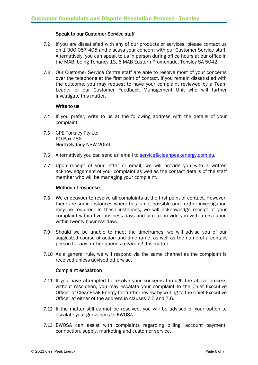#### Speak to our Customer Service staff

- 7.2 If you are dissatisfied with any of our products or services, please contact us on 1 300 057 405 and discuss your concern with our Customer Service staff. Alternatively, you can speak to us in person during office hours at our office in the MAB, being Tenancy 13, 6 MAB Eastern Promenade, Tonsley SA 5042.
- 7.3 Our Customer Service Centre staff are able to resolve most of your concerns over the telephone at the first point of contact. If you remain dissatisfied with the outcome, you may request to have your complaint reviewed by a Team Leader or our Customer Feedback Management Unit who will further investigate this matter.

#### Write to us

- 7.4 If you prefer, write to us at the following address with the details of your complaint:
- 7.5 CPE Tonsley Pty Ltd PO Box 786 North Sydney NSW 2059
- 7.6 Alternatively you can send an email to [service@cleanpeakenergy.com.au.](mailto:service@cleanpeakenergy.com.au)
- 7.7 Upon receipt of your letter or email, we will provide you with a written acknowledgement of your complaint as well as the contact details of the staff member who will be managing your complaint.

# Method of response

- 7.8 We endeavour to resolve all complaints at the first point of contact. However, there are some instances where this is not possible and further investigation may be required. In these instances, we will acknowledge receipt of your complaint within five business days and aim to provide you with a resolution within twenty business days.
- 7.9 Should we be unable to meet the timeframes, we will advise you of our suggested course of action and timeframe, as well as the name of a contact person for any further queries regarding this matter.
- 7.10 As a general rule, we will respond via the same channel as the complaint is received unless advised otherwise.

#### Complaint escalation

- 7.11 If you have attempted to resolve your concerns through the above process without resolution, you may escalate your complaint to the Chief Executive Officer of CleanPeak Energy for further review by writing to the Chief Executive Officer at either of the address in clauses 7.5 and 7.6.
- 7.12 If the matter still cannot be resolved, you will be advised of your option to escalate your grievances to EWOSA.
- 7.13 EWOSA can assist with complaints regarding billing, account payment, connection, supply, marketing and customer service.